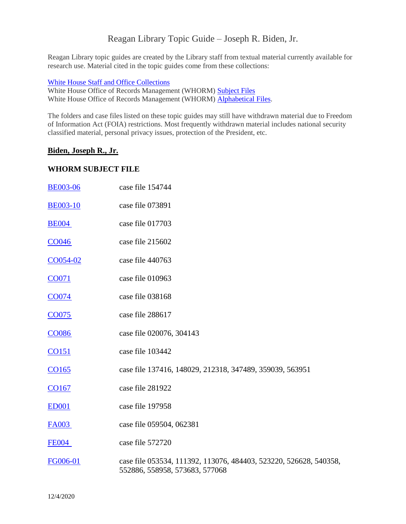# Reagan Library Topic Guide – Joseph R. Biden, Jr.

Reagan Library topic guides are created by the Library staff from textual material currently available for research use. Material cited in the topic guides come from these collections:

#### [White House Staff and Office Collections](https://reaganlibrary.gov/archives/white-house-inventories)

White House Office of Records Management (WHORM) [Subject Files](https://reaganlibrary.gov/archives/white-house-office-records-management-subject-file-1981-1989) White House Office of Records Management (WHORM) [Alphabetical Files.](https://reaganlibrary.gov/archives/subject/white-house-office-records-management-whorm-alphabetical-file-1981-1989)

The folders and case files listed on these topic guides may still have withdrawn material due to Freedom of Information Act (FOIA) restrictions. Most frequently withdrawn material includes national security classified material, personal privacy issues, protection of the President, etc.

#### **Biden, Joseph R., Jr.**

#### **WHORM SUBJECT FILE**

| <b>BE003-06</b>   | case file 154744                                                                                    |
|-------------------|-----------------------------------------------------------------------------------------------------|
| <b>BE003-10</b>   | case file 073891                                                                                    |
| <b>BE004</b>      | case file 017703                                                                                    |
| CO <sub>046</sub> | case file 215602                                                                                    |
| $CO054 - 02$      | case file 440763                                                                                    |
| CO071             | case file 010963                                                                                    |
| <b>CO074</b>      | case file 038168                                                                                    |
| CO075             | case file 288617                                                                                    |
| <b>CO086</b>      | case file 020076, 304143                                                                            |
| <u>CO151</u>      | case file 103442                                                                                    |
| CO165             | case file 137416, 148029, 212318, 347489, 359039, 563951                                            |
| CO167             | case file 281922                                                                                    |
| <b>ED001</b>      | case file 197958                                                                                    |
| <b>FA003</b>      | case file 059504, 062381                                                                            |
| <b>FE004</b>      | case file 572720                                                                                    |
| FG006-01          | case file 053534, 111392, 113076, 484403, 523220, 526628, 540358,<br>552886, 558958, 573683, 577068 |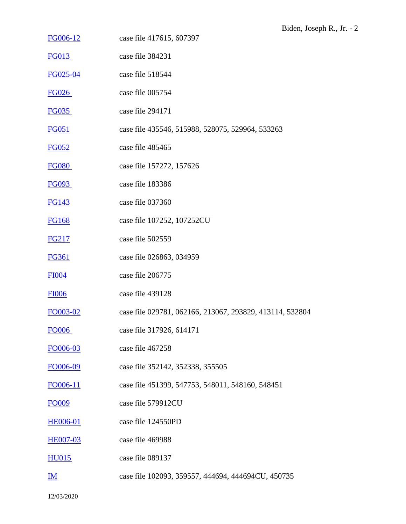- [FG006-12](https://www.reaganlibrary.gov/archives/whorm-subject-file-1981-1989/whorm-fed-govt-org-categories#FG006-012) case file 417615, 607397
- [FG013](https://www.reaganlibrary.gov/archives/whorm-subject-file-1981-1989/whorm-fed-govt-org-categories#FG013) case file 384231
- [FG025-04](https://www.reaganlibrary.gov/archives/whorm-subject-file-1981-1989/whorm-fed-govt-org-categories#FG025-04) case file 518544
- [FG026](https://www.reaganlibrary.gov/archives/whorm-subject-file-1981-1989/whorm-fed-govt-org-categories#FG026) case file 005754
- [FG035](https://www.reaganlibrary.gov/archives/whorm-subject-file-1981-1989/whorm-fed-govt-org-categories#FG035) case file 294171
- [FG051](https://www.reaganlibrary.gov/archives/whorm-subject-file-1981-1989/whorm-fed-govt-org-categories#FG051) case file 435546, 515988, 528075, 529964, 533263
- [FG052](https://www.reaganlibrary.gov/archives/whorm-subject-file-1981-1989/whorm-fed-govt-org-categories#FG052) case file 485465
- [FG080](https://www.reaganlibrary.gov/archives/whorm-subject-file-1981-1989/whorm-fed-govt-org-categories#FG080) case file 157272, 157626
- [FG093](https://www.reaganlibrary.gov/archives/whorm-subject-file-1981-1989/whorm-fed-govt-org-categories#FG093) case file 183386
- [FG143](https://www.reaganlibrary.gov/archives/whorm-subject-file-1981-1989/whorm-fed-govt-org-categories#FG143) case file 037360
- [FG168](https://www.reaganlibrary.gov/archives/whorm-subject-file-1981-1989/whorm-fed-govt-org-categories#FG168) case file 107252, 107252CU
- [FG217](https://www.reaganlibrary.gov/archives/whorm-subject-file-1981-1989/whorm-fed-govt-org-categories#FG217) case file 502559
- [FG361](https://www.reaganlibrary.gov/archives/whorm-subject-file-1981-1989/whorm-fed-govt-org-categories#FG361) case file 026863, 034959
- [FI004](https://www.reaganlibrary.gov/archives/subject/whorm-finance#FI004) case file 206775
- [FI006](https://www.reaganlibrary.gov/archives/subject/whorm-finance#FI006) case file 439128
- [FO003-02](https://www.reaganlibrary.gov/archives/subject/whorm-foreign-affairs#FO003-02) case file 029781, 062166, 213067, 293829, 413114, 532804
- [FO006](https://www.reaganlibrary.gov/archives/subject/whorm-foreign-affairs#FO006) case file 317926, 614171
- [FO006-03](https://www.reaganlibrary.gov/archives/subject/whorm-foreign-affairs#FO006-03) case file 467258
- [FO006-09](https://www.reaganlibrary.gov/archives/subject/whorm-foreign-affairs#FO006-09) case file 352142, 352338, 355505
- [FO006-11](https://www.reaganlibrary.gov/archives/subject/whorm-foreign-affairs#FO006-11) case file 451399, 547753, 548011, 548160, 548451
- [FO009](https://www.reaganlibrary.gov/archives/subject/whorm-foreign-affairs#FO009) case file 579912CU
- [HE006-01](https://www.reaganlibrary.gov/archives/subject/whorm-health#HE006-01) case file 124550PD
- [HE007-03](https://www.reaganlibrary.gov/archives/subject/whorm-health#HE007-03) case file 469988
- [HU015](https://www.reaganlibrary.gov/archives/subject/whorm-human-rights#HU015) case file 089137
- [IM](https://www.reaganlibrary.gov/archives/subject/whorm-immigration) case file 102093, 359557, 444694, 444694CU, 450735

12/03/2020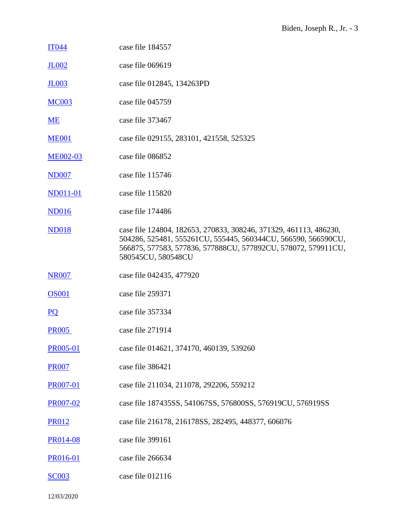| <b>IT044</b>     | case file 184557                                                                                                                                                                                                          |
|------------------|---------------------------------------------------------------------------------------------------------------------------------------------------------------------------------------------------------------------------|
| <b>JL002</b>     | case file 069619                                                                                                                                                                                                          |
| <b>JL003</b>     | case file 012845, 134263PD                                                                                                                                                                                                |
| <b>MC003</b>     | case file 045759                                                                                                                                                                                                          |
| ME               | case file 373467                                                                                                                                                                                                          |
| <b>ME001</b>     | case file 029155, 283101, 421558, 525325                                                                                                                                                                                  |
| <b>ME002-03</b>  | case file 086852                                                                                                                                                                                                          |
| <b>ND007</b>     | case file 115746                                                                                                                                                                                                          |
| <b>ND011-01</b>  | case file 115820                                                                                                                                                                                                          |
| <b>ND016</b>     | case file 174486                                                                                                                                                                                                          |
| <b>ND018</b>     | case file 124804, 182653, 270833, 308246, 371329, 461113, 486230,<br>504286, 525481, 555261CU, 555445, 560344CU, 566590, 566590CU,<br>566875, 577583, 577836, 577888CU, 577892CU, 578072, 579911CU,<br>580545CU, 580548CU |
| <b>NR007</b>     | case file 042435, 477920                                                                                                                                                                                                  |
| <b>OS001</b>     | case file 259371                                                                                                                                                                                                          |
| $\underline{PQ}$ | case file 357334                                                                                                                                                                                                          |
| <b>PR005</b>     | case file 271914                                                                                                                                                                                                          |
| <b>PR005-01</b>  | case file 014621, 374170, 460139, 539260                                                                                                                                                                                  |
| <b>PR007</b>     | case file 386421                                                                                                                                                                                                          |
| <b>PR007-01</b>  | case file 211034, 211078, 292206, 559212                                                                                                                                                                                  |
| PR007-02         | case file 187435SS, 541067SS, 576800SS, 576919CU, 576919SS                                                                                                                                                                |
| <b>PR012</b>     | case file 216178, 216178SS, 282495, 448377, 606076                                                                                                                                                                        |
| PR014-08         | case file 399161                                                                                                                                                                                                          |
| <b>PR016-01</b>  | case file 266634                                                                                                                                                                                                          |
| <b>SC003</b>     | case file 012116                                                                                                                                                                                                          |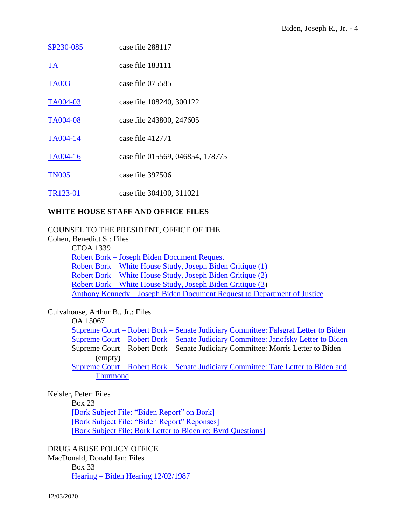| SP230-085             | case file 288117                 |
|-----------------------|----------------------------------|
| <u>TA</u>             | case file 183111                 |
| <b>TA003</b>          | case file 075585                 |
| TA004-03              | case file 108240, 300122         |
| <b>TA004-08</b>       | case file 243800, 247605         |
| TA004-14              | case file 412771                 |
| TA004-16              | case file 015569, 046854, 178775 |
| <b>TN005</b>          | case file 397506                 |
| TR <sub>123</sub> -01 | case file 304100, 311021         |

## **WHITE HOUSE STAFF AND OFFICE FILES**

COUNSEL TO THE PRESIDENT, OFFICE OF THE

Cohen, Benedict S.: Files CFOA 1339 Robert Bork – [Joseph Biden Document Request](https://www.reaganlibrary.gov/public/2020-12/40-101-7788432-CFOA1339-004-2020.pdf) Robert Bork – [White House Study, Joseph Biden Critique \(1\)](https://www.reaganlibrary.gov/public/2020-12/40-101-7788432-CFOA1339-005-2020.pdf) Robert Bork – [White House Study, Joseph Biden Critique \(2\)](https://www.reaganlibrary.gov/public/2020-12/40-101-7788432-CFOA1339-006-2020.pdf) Robert Bork – [White House Study, Joseph Biden Critique \(3\)](https://www.reaganlibrary.gov/public/2020-12/40-101-7788432-CFOA1339-007-2020.pdf) Anthony Kennedy – [Joseph Biden Document Request to Department of Justice](https://www.reaganlibrary.gov/public/2020-12/40-101-7788432-CFOA1339-008-2020.pdf)

Culvahouse, Arthur B., Jr.: Files

OA 15067

Supreme Court – Robert Bork – [Senate Judiciary Committee: Falsgraf Letter to Biden](https://www.reaganlibrary.gov/public/2020-12/40-123-12011812-OA15067-001-2020.pdf) Supreme Court – Robert Bork – [Senate Judiciary Committee: Janofsky Letter to Biden](https://www.reaganlibrary.gov/public/2020-12/40-123-12011812-OA15067-002-2020.pdf) Supreme Court – Robert Bork – Senate Judiciary Committee: Morris Letter to Biden (empty) Supreme Court – Robert Bork – [Senate Judiciary Committee: Tate Letter to Biden and](https://www.reaganlibrary.gov/public/2020-12/40-123-12011812-OA15067-004-2020.pdf) 

[Thurmond](https://www.reaganlibrary.gov/public/2020-12/40-123-12011812-OA15067-004-2020.pdf)

Keisler, Peter: Files

Box 23

[\[Bork Subject File: "Biden Report" on Bork\]](https://www.reaganlibrary.gov/public/2020-12/40-282-7452061-023-002-2020.pdf) [\[Bork Subject File: "Biden Report" Reponses\]](https://www.reaganlibrary.gov/public/2020-12/40-282-7452061-023-003-2020.pdf) [\[Bork Subject File: Bork Letter to Biden re: Byrd Questions\]](https://www.reaganlibrary.gov/public/2020-12/40-282-7452061-023-011-2020.pdf)

DRUG ABUSE POLICY OFFICE

MacDonald, Donald Ian: Files Box 33 Hearing – [Biden Hearing 12/02/1987](https://www.reaganlibrary.gov/public/2020-12/40-342-7557843-033-003-2020.pdf)